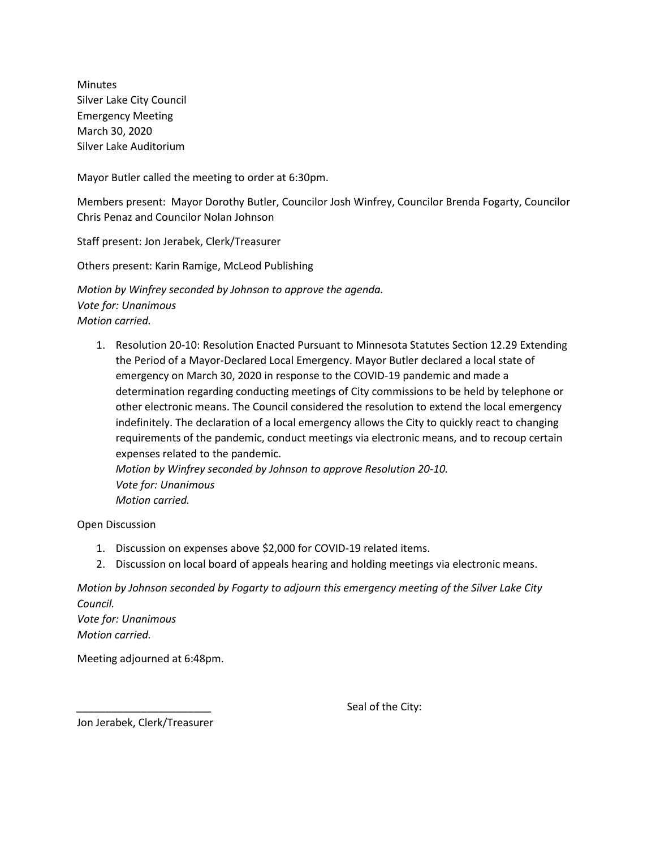Minutes Silver Lake City Council Emergency Meeting March 30, 2020 Silver Lake Auditorium

Mayor Butler called the meeting to order at 6:30pm.

Members present: Mayor Dorothy Butler, Councilor Josh Winfrey, Councilor Brenda Fogarty, Councilor Chris Penaz and Councilor Nolan Johnson

Staff present: Jon Jerabek, Clerk/Treasurer

Others present: Karin Ramige, McLeod Publishing

*Motion by Winfrey seconded by Johnson to approve the agenda. Vote for: Unanimous Motion carried.*

1. Resolution 20-10: Resolution Enacted Pursuant to Minnesota Statutes Section 12.29 Extending the Period of a Mayor-Declared Local Emergency. Mayor Butler declared a local state of emergency on March 30, 2020 in response to the COVID-19 pandemic and made a determination regarding conducting meetings of City commissions to be held by telephone or other electronic means. The Council considered the resolution to extend the local emergency indefinitely. The declaration of a local emergency allows the City to quickly react to changing requirements of the pandemic, conduct meetings via electronic means, and to recoup certain expenses related to the pandemic.

*Motion by Winfrey seconded by Johnson to approve Resolution 20-10. Vote for: Unanimous Motion carried.* 

Open Discussion

- 1. Discussion on expenses above \$2,000 for COVID-19 related items.
- 2. Discussion on local board of appeals hearing and holding meetings via electronic means.

*Motion by Johnson seconded by Fogarty to adjourn this emergency meeting of the Silver Lake City Council.*

*Vote for: Unanimous Motion carried.*

Meeting adjourned at 6:48pm.

Seal of the City:

Jon Jerabek, Clerk/Treasurer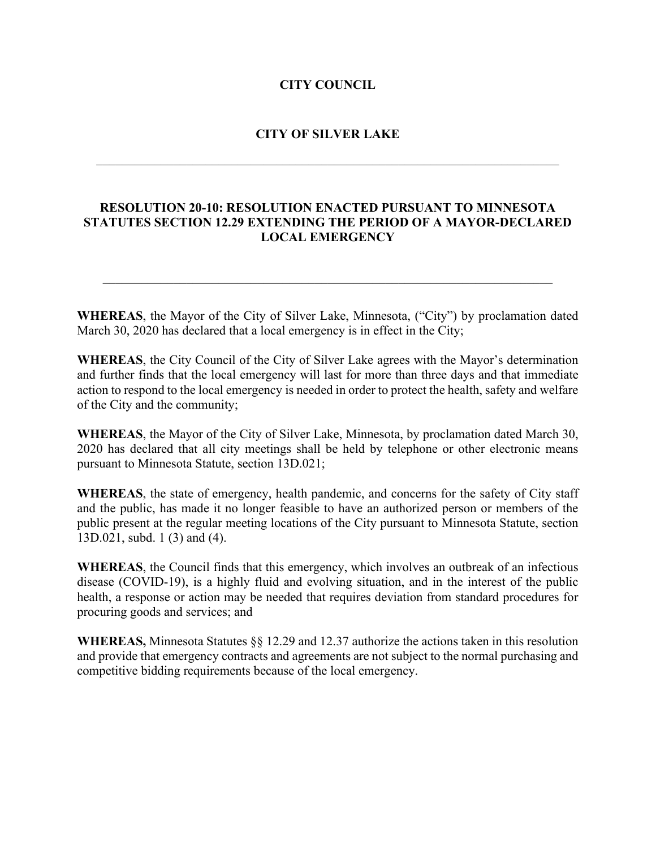## **CITY COUNCIL**

## **CITY OF SILVER LAKE**

 $\mathcal{L}_\text{G}$  , and the contribution of the contribution of the contribution of the contribution of the contribution of the contribution of the contribution of the contribution of the contribution of the contribution of t

## **RESOLUTION 20-10: RESOLUTION ENACTED PURSUANT TO MINNESOTA STATUTES SECTION 12.29 EXTENDING THE PERIOD OF A MAYOR-DECLARED LOCAL EMERGENCY**

**WHEREAS**, the Mayor of the City of Silver Lake, Minnesota, ("City") by proclamation dated March 30, 2020 has declared that a local emergency is in effect in the City;

 $\mathcal{L}_\mathcal{L} = \mathcal{L}_\mathcal{L} = \mathcal{L}_\mathcal{L} = \mathcal{L}_\mathcal{L} = \mathcal{L}_\mathcal{L} = \mathcal{L}_\mathcal{L} = \mathcal{L}_\mathcal{L} = \mathcal{L}_\mathcal{L} = \mathcal{L}_\mathcal{L} = \mathcal{L}_\mathcal{L} = \mathcal{L}_\mathcal{L} = \mathcal{L}_\mathcal{L} = \mathcal{L}_\mathcal{L} = \mathcal{L}_\mathcal{L} = \mathcal{L}_\mathcal{L} = \mathcal{L}_\mathcal{L} = \mathcal{L}_\mathcal{L}$ 

**WHEREAS**, the City Council of the City of Silver Lake agrees with the Mayor's determination and further finds that the local emergency will last for more than three days and that immediate action to respond to the local emergency is needed in order to protect the health, safety and welfare of the City and the community;

**WHEREAS**, the Mayor of the City of Silver Lake, Minnesota, by proclamation dated March 30, 2020 has declared that all city meetings shall be held by telephone or other electronic means pursuant to Minnesota Statute, section 13D.021;

**WHEREAS**, the state of emergency, health pandemic, and concerns for the safety of City staff and the public, has made it no longer feasible to have an authorized person or members of the public present at the regular meeting locations of the City pursuant to Minnesota Statute, section 13D.021, subd. 1 (3) and (4).

**WHEREAS**, the Council finds that this emergency, which involves an outbreak of an infectious disease (COVID-19), is a highly fluid and evolving situation, and in the interest of the public health, a response or action may be needed that requires deviation from standard procedures for procuring goods and services; and

**WHEREAS,** Minnesota Statutes §§ 12.29 and 12.37 authorize the actions taken in this resolution and provide that emergency contracts and agreements are not subject to the normal purchasing and competitive bidding requirements because of the local emergency.